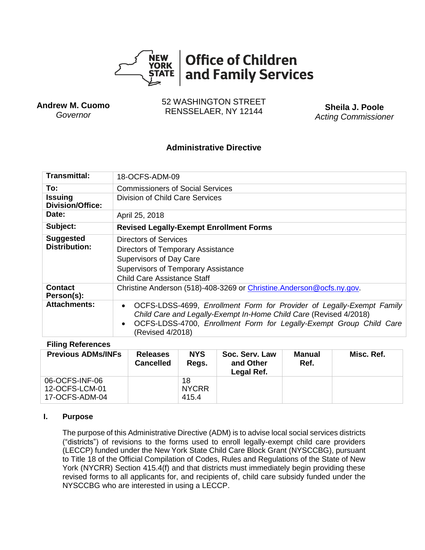

**Andrew M. Cuomo** *Governor*

52 WASHINGTON STREET RENSSELAER, NY 12144 **Sheila J. Poole**

*Acting Commissioner*

# **Administrative Directive**

| Transmittal:                              | 18-OCFS-ADM-09                                                                                                                                                                                                                                                  |  |  |  |  |
|-------------------------------------------|-----------------------------------------------------------------------------------------------------------------------------------------------------------------------------------------------------------------------------------------------------------------|--|--|--|--|
| To:                                       | Commissioners of Social Services                                                                                                                                                                                                                                |  |  |  |  |
| <b>Issuing</b><br><b>Division/Office:</b> | Division of Child Care Services                                                                                                                                                                                                                                 |  |  |  |  |
| Date:                                     | April 25, 2018                                                                                                                                                                                                                                                  |  |  |  |  |
| Subject:                                  | <b>Revised Legally-Exempt Enrollment Forms</b>                                                                                                                                                                                                                  |  |  |  |  |
| <b>Suggested</b><br><b>Distribution:</b>  | Directors of Services<br>Directors of Temporary Assistance<br>Supervisors of Day Care<br><b>Supervisors of Temporary Assistance</b><br><b>Child Care Assistance Staff</b>                                                                                       |  |  |  |  |
| <b>Contact</b><br>Person(s):              | Christine Anderson (518)-408-3269 or Christine.Anderson@ocfs.ny.gov.                                                                                                                                                                                            |  |  |  |  |
| <b>Attachments:</b>                       | OCFS-LDSS-4699, Enrollment Form for Provider of Legally-Exempt Family<br>$\bullet$<br>Child Care and Legally-Exempt In-Home Child Care (Revised 4/2018)<br>OCFS-LDSS-4700, Enrollment Form for Legally-Exempt Group Child Care<br>$\bullet$<br>(Revised 4/2018) |  |  |  |  |

#### **Filing References**

| <b>Previous ADMs/INFs</b>                          | <b>Releases</b><br><b>Cancelled</b> | <b>NYS</b><br>Regs.         | Soc. Serv. Law<br>and Other<br>Legal Ref. | Manual<br>Ref. | Misc. Ref. |
|----------------------------------------------------|-------------------------------------|-----------------------------|-------------------------------------------|----------------|------------|
| 06-OCFS-INF-06<br>12-OCFS-LCM-01<br>17-OCFS-ADM-04 |                                     | 18<br><b>NYCRR</b><br>415.4 |                                           |                |            |

#### **I. Purpose**

The purpose of this Administrative Directive (ADM) is to advise local social services districts ("districts") of revisions to the forms used to enroll legally-exempt child care providers (LECCP) funded under the New York State Child Care Block Grant (NYSCCBG), pursuant to Title 18 of the Official Compilation of Codes, Rules and Regulations of the State of New York (NYCRR) Section 415.4(f) and that districts must immediately begin providing these revised forms to all applicants for, and recipients of, child care subsidy funded under the NYSCCBG who are interested in using a LECCP.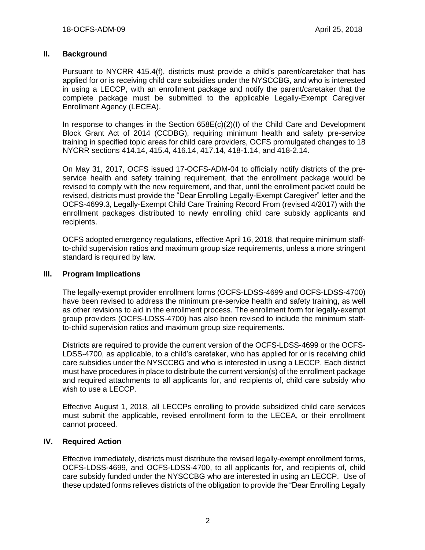# **II. Background**

Pursuant to NYCRR 415.4(f), districts must provide a child's parent/caretaker that has applied for or is receiving child care subsidies under the NYSCCBG, and who is interested in using a LECCP, with an enrollment package and notify the parent/caretaker that the complete package must be submitted to the applicable Legally-Exempt Caregiver Enrollment Agency (LECEA).

In response to changes in the Section 658E(c)(2)(I) of the Child Care and Development Block Grant Act of 2014 (CCDBG), requiring minimum health and safety pre-service training in specified topic areas for child care providers, OCFS promulgated changes to 18 NYCRR sections 414.14, 415.4, 416.14, 417.14, 418-1.14, and 418-2.14.

On May 31, 2017, OCFS issued 17-OCFS-ADM-04 to officially notify districts of the preservice health and safety training requirement, that the enrollment package would be revised to comply with the new requirement, and that, until the enrollment packet could be revised, districts must provide the "Dear Enrolling Legally-Exempt Caregiver" letter and the OCFS-4699.3, Legally-Exempt Child Care Training Record From (revised 4/2017) with the enrollment packages distributed to newly enrolling child care subsidy applicants and recipients.

OCFS adopted emergency regulations, effective April 16, 2018, that require minimum staffto-child supervision ratios and maximum group size requirements, unless a more stringent standard is required by law.

#### **III. Program Implications**

The legally-exempt provider enrollment forms (OCFS-LDSS-4699 and OCFS-LDSS-4700) have been revised to address the minimum pre-service health and safety training, as well as other revisions to aid in the enrollment process. The enrollment form for legally-exempt group providers (OCFS-LDSS-4700) has also been revised to include the minimum staffto-child supervision ratios and maximum group size requirements.

Districts are required to provide the current version of the OCFS-LDSS-4699 or the OCFS-LDSS-4700, as applicable, to a child's caretaker, who has applied for or is receiving child care subsidies under the NYSCCBG and who is interested in using a LECCP. Each district must have procedures in place to distribute the current version(s) of the enrollment package and required attachments to all applicants for, and recipients of, child care subsidy who wish to use a LECCP.

Effective August 1, 2018, all LECCPs enrolling to provide subsidized child care services must submit the applicable, revised enrollment form to the LECEA, or their enrollment cannot proceed.

## **IV. Required Action**

Effective immediately, districts must distribute the revised legally-exempt enrollment forms, OCFS-LDSS-4699, and OCFS-LDSS-4700, to all applicants for, and recipients of, child care subsidy funded under the NYSCCBG who are interested in using an LECCP. Use of these updated forms relieves districts of the obligation to provide the "Dear Enrolling Legally